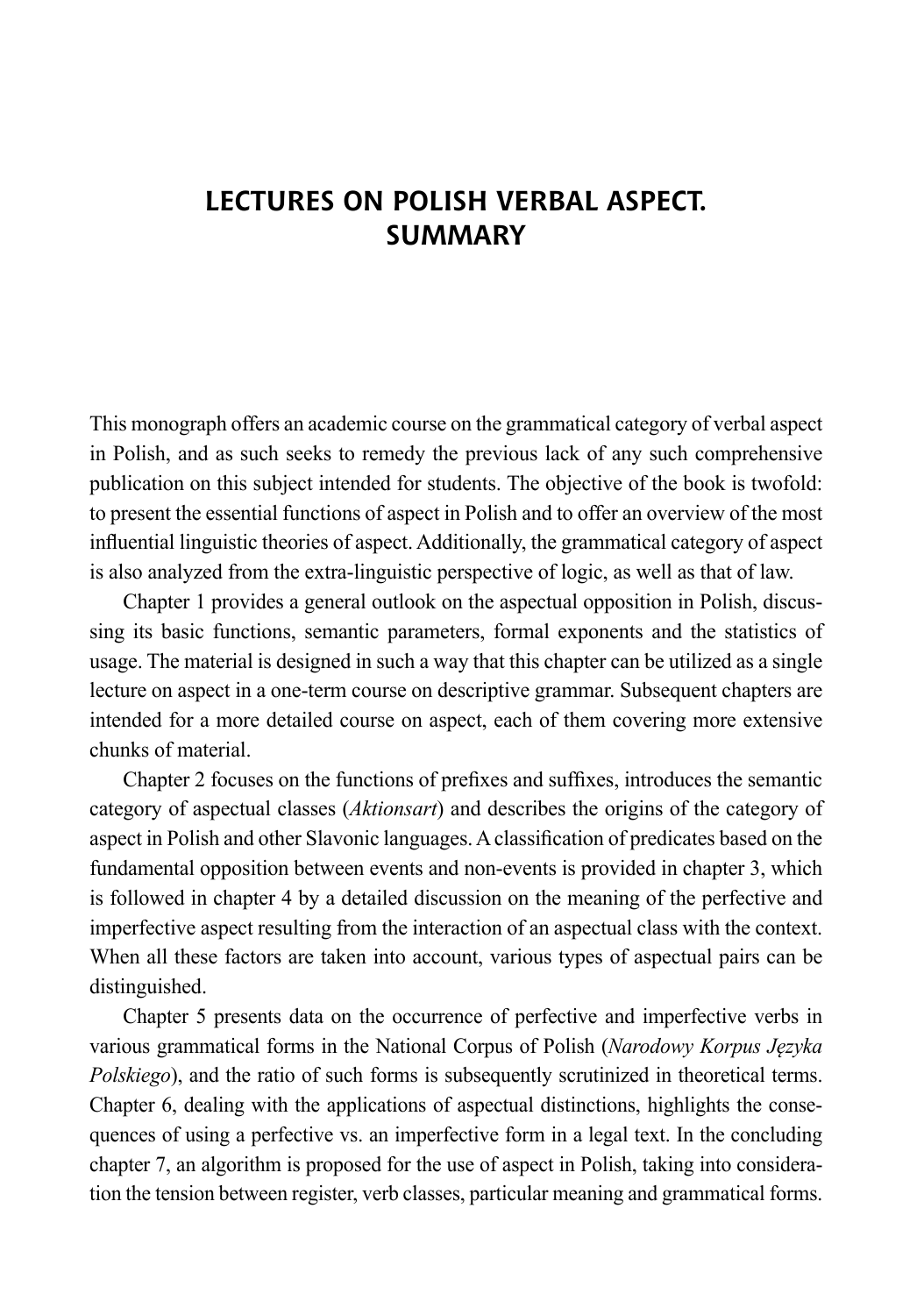## **Lectures on Polish Verbal Aspect. Summary**

This monograph offers an academic course on the grammatical category of verbal aspect in Polish, and as such seeks to remedy the previous lack of any such comprehensive publication on this subject intended for students. The objective of the book is twofold: to present the essential functions of aspect in Polish and to offer an overview of the most influential linguistic theories of aspect. Additionally, the grammatical category of aspect is also analyzed from the extra-linguistic perspective of logic, as well as that of law.

Chapter 1 provides a general outlook on the aspectual opposition in Polish, discussing its basic functions, semantic parameters, formal exponents and the statistics of usage. The material is designed in such a way that this chapter can be utilized as a single lecture on aspect in a one-term course on descriptive grammar. Subsequent chapters are intended for a more detailed course on aspect, each of them covering more extensive chunks of material.

Chapter 2 focuses on the functions of prefixes and suffixes, introduces the semantic category of aspectual classes (*Aktionsart*) and describes the origins of the category of aspect in Polish and other Slavonic languages. Aclassification of predicates based on the fundamental opposition between events and non-events is provided in chapter 3, which is followed in chapter 4 by a detailed discussion on the meaning of the perfective and imperfective aspect resulting from the interaction of an aspectual class with the context. When all these factors are taken into account, various types of aspectual pairs can be distinguished.

Chapter 5 presents data on the occurrence of perfective and imperfective verbs in various grammatical forms in the National Corpus of Polish (*Narodowy Korpus Języka Polskiego*), and the ratio of such forms is subsequently scrutinized in theoretical terms. Chapter 6, dealing with the applications of aspectual distinctions, highlights the consequences of using a perfective vs. an imperfective form in a legal text. In the concluding chapter 7, an algorithm is proposed for the use of aspect in Polish, taking into consideration the tension between register, verb classes, particular meaning and grammatical forms.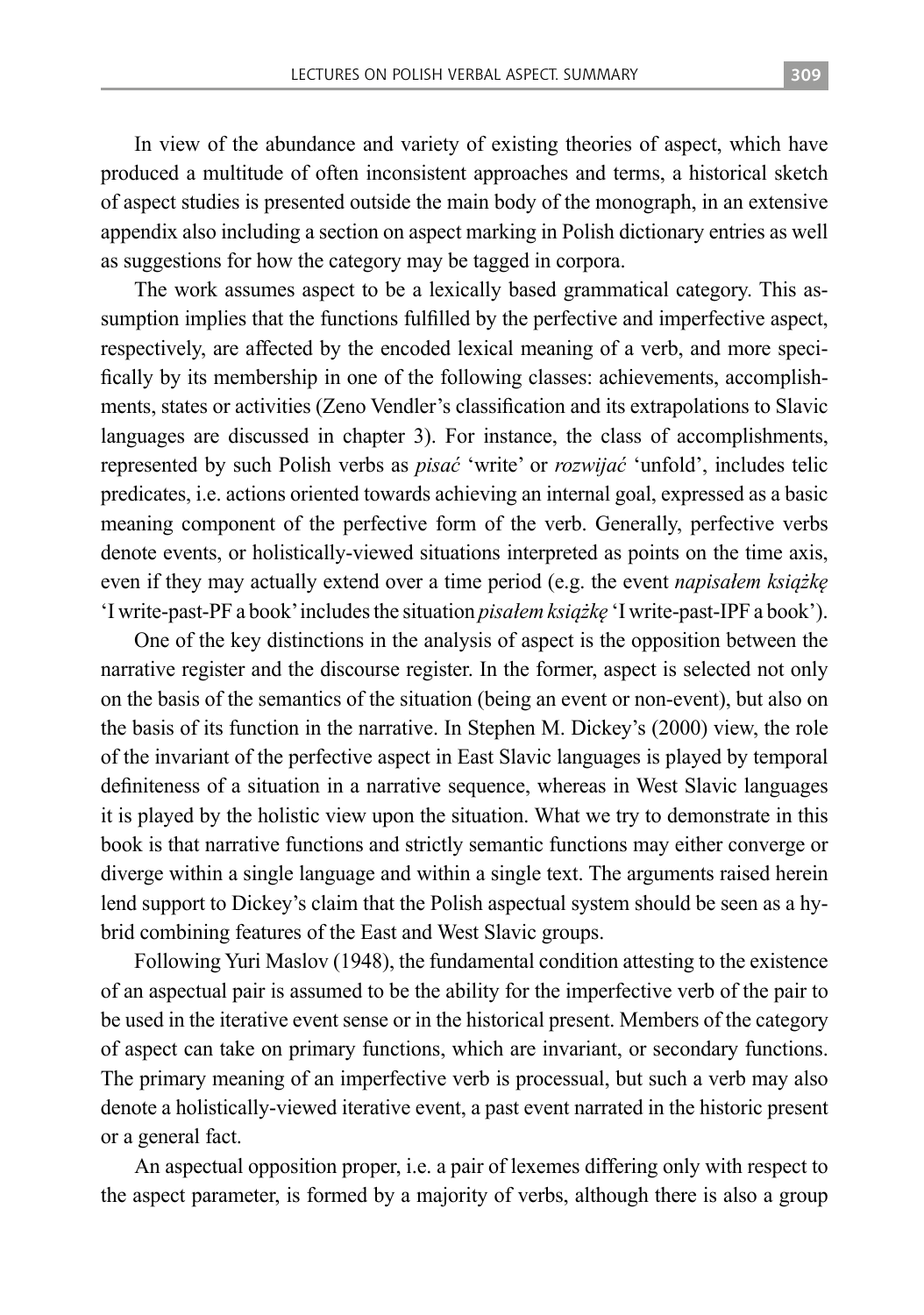In view of the abundance and variety of existing theories of aspect, which have produced a multitude of often inconsistent approaches and terms, a historical sketch of aspect studies is presented outside the main body of the monograph, in an extensive appendix also including a section on aspect marking in Polish dictionary entries as well as suggestions for how the category may be tagged in corpora.

The work assumes aspect to be a lexically based grammatical category. This assumption implies that the functions fulfilled by the perfective and imperfective aspect, respectively, are affected by the encoded lexical meaning of a verb, and more specifically by its membership in one of the following classes: achievements, accomplishments, states or activities (Zeno Vendler's classification and its extrapolations to Slavic languages are discussed in chapter 3). For instance, the class of accomplishments, represented by such Polish verbs as *pisać* 'write' or *rozwijać* 'unfold', includes telic predicates, i.e. actions oriented towards achieving an internal goal, expressed as a basic meaning component of the perfective form of the verb. Generally, perfective verbs denote events, or holistically-viewed situations interpreted as points on the time axis, even if they may actually extend over a time period (e.g. the event *napisałem książkę* 'I write-past-PF a book' includes the situation *pisałem książkę* 'I write-past-IPF a book').

One of the key distinctions in the analysis of aspect is the opposition between the narrative register and the discourse register. In the former, aspect is selected not only on the basis of the semantics of the situation (being an event or non-event), but also on the basis of its function in the narrative. In Stephen M. Dickey's (2000) view, the role of the invariant of the perfective aspect in East Slavic languages is played by temporal definiteness of a situation in a narrative sequence, whereas in West Slavic languages it is played by the holistic view upon the situation. What we try to demonstrate in this book is that narrative functions and strictly semantic functions may either converge or diverge within a single language and within a single text. The arguments raised herein lend support to Dickey's claim that the Polish aspectual system should be seen as a hybrid combining features of the East and West Slavic groups.

Following Yuri Maslov (1948), the fundamental condition attesting to the existence of an aspectual pair is assumed to be the ability for the imperfective verb of the pair to be used in the iterative event sense or in the historical present. Members of the category of aspect can take on primary functions, which are invariant, or secondary functions. The primary meaning of an imperfective verb is processual, but such a verb may also denote a holistically-viewed iterative event, a past event narrated in the historic present or a general fact.

An aspectual opposition proper, i.e. a pair of lexemes differing only with respect to the aspect parameter, is formed by a majority of verbs, although there is also a group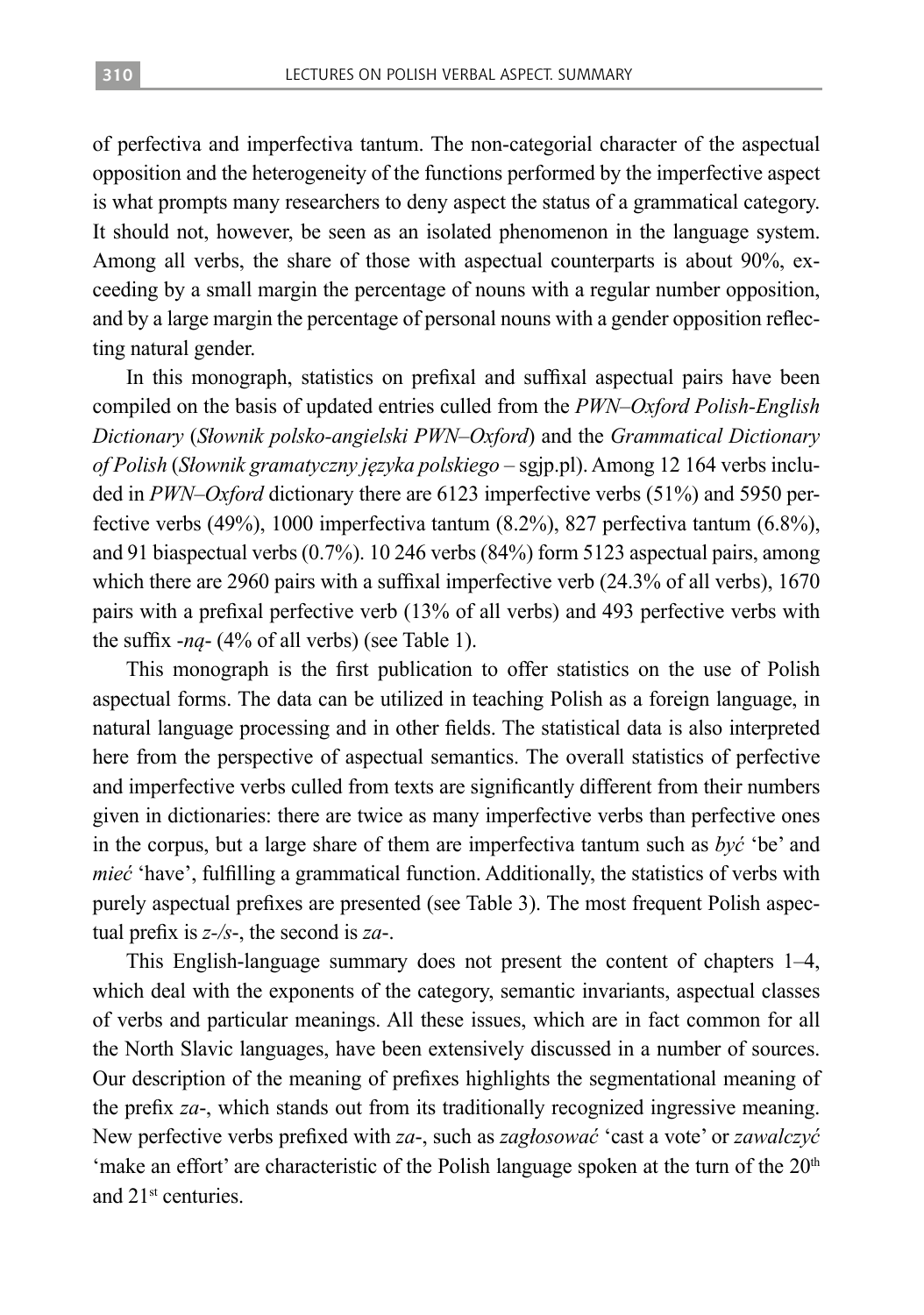of perfectiva and imperfectiva tantum. The non-categorial character of the aspectual opposition and the heterogeneity of the functions performed by the imperfective aspect is what prompts many researchers to deny aspect the status of a grammatical category. It should not, however, be seen as an isolated phenomenon in the language system. Among all verbs, the share of those with aspectual counterparts is about 90%, exceeding by a small margin the percentage of nouns with a regular number opposition, and by a large margin the percentage of personal nouns with a gender opposition reflecting natural gender.

In this monograph, statistics on prefixal and suffixal aspectual pairs have been compiled on the basis of updated entries culled from the *PWN–Oxford Polish-English Dictionary* (*Słownik polsko-angielski PWN–Oxford*) and the *Grammatical Dictionary of Polish* (*Słownik gramatyczny języka polskiego* – sgjp.pl). Among 12 164 verbs included in *PWN–Oxford* dictionary there are 6123 imperfective verbs (51%) and 5950 perfective verbs (49%), 1000 imperfectiva tantum (8.2%), 827 perfectiva tantum (6.8%), and 91 biaspectual verbs (0.7%). 10 246 verbs (84%) form 5123 aspectual pairs, among which there are 2960 pairs with a suffixal imperfective verb (24.3% of all verbs), 1670 pairs with a prefixal perfective verb (13% of all verbs) and 493 perfective verbs with the suffix -*ną*- (4% of all verbs) (see Table 1).

This monograph is the first publication to offer statistics on the use of Polish aspectual forms. The data can be utilized in teaching Polish as a foreign language, in natural language processing and in other fields. The statistical data is also interpreted here from the perspective of aspectual semantics. The overall statistics of perfective and imperfective verbs culled from texts are significantly different from their numbers given in dictionaries: there are twice as many imperfective verbs than perfective ones in the corpus, but a large share of them are imperfectiva tantum such as *być* 'be' and *mieć* 'have', fulfilling a grammatical function. Additionally, the statistics of verbs with purely aspectual prefixes are presented (see Table 3). The most frequent Polish aspectual prefix is *z-/s*-, the second is *za*-.

This English-language summary does not present the content of chapters 1–4, which deal with the exponents of the category, semantic invariants, aspectual classes of verbs and particular meanings. All these issues, which are in fact common for all the North Slavic languages, have been extensively discussed in a number of sources. Our description of the meaning of prefixes highlights the segmentational meaning of the prefix *za*-, which stands out from its traditionally recognized ingressive meaning. New perfective verbs prefixed with *za*-, such as *zagłosować* 'cast a vote' or *zawalczyć* 'make an effort' are characteristic of the Polish language spoken at the turn of the  $20<sup>th</sup>$ and 21st centuries.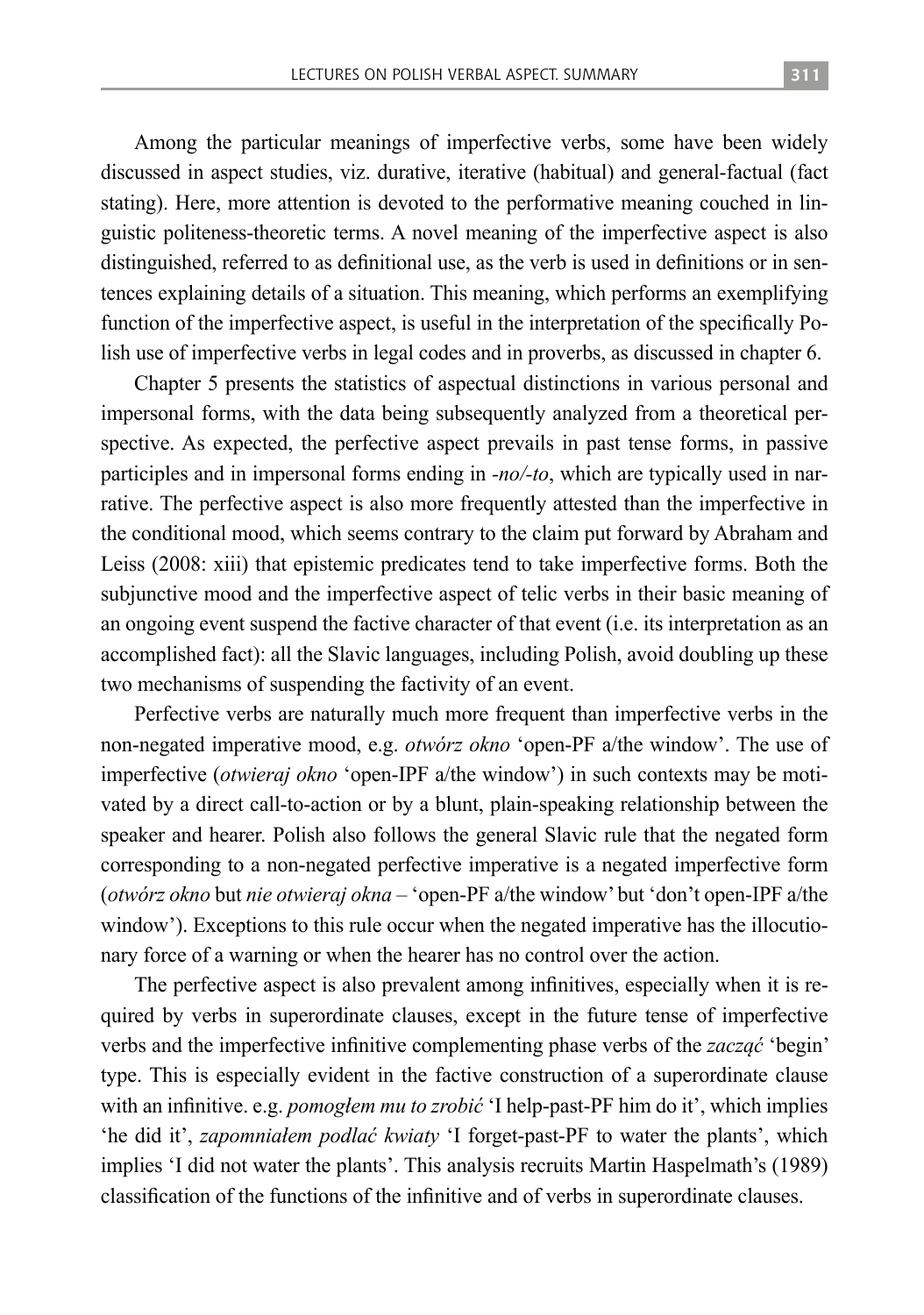Among the particular meanings of imperfective verbs, some have been widely discussed in aspect studies, viz. durative, iterative (habitual) and general-factual (fact stating). Here, more attention is devoted to the performative meaning couched in linguistic politeness-theoretic terms. A novel meaning of the imperfective aspect is also distinguished, referred to as definitional use, as the verb is used in definitions or in sentences explaining details of a situation. This meaning, which performs an exemplifying function of the imperfective aspect, is useful in the interpretation of the specifically Polish use of imperfective verbs in legal codes and in proverbs, as discussed in chapter 6.

Chapter 5 presents the statistics of aspectual distinctions in various personal and impersonal forms, with the data being subsequently analyzed from a theoretical perspective. As expected, the perfective aspect prevails in past tense forms, in passive participles and in impersonal forms ending in *-no/-to*, which are typically used in narrative. The perfective aspect is also more frequently attested than the imperfective in the conditional mood, which seems contrary to the claim put forward by Abraham and Leiss (2008: xiii) that epistemic predicates tend to take imperfective forms. Both the subjunctive mood and the imperfective aspect of telic verbs in their basic meaning of an ongoing event suspend the factive character of that event (i.e. its interpretation as an accomplished fact): all the Slavic languages, including Polish, avoid doubling up these two mechanisms of suspending the factivity of an event.

Perfective verbs are naturally much more frequent than imperfective verbs in the non-negated imperative mood, e.g. *otwórz okno* 'open-PF a/the window'. The use of imperfective (*otwieraj okno* 'open-IPF a/the window') in such contexts may be motivated by a direct call-to-action or by a blunt, plain-speaking relationship between the speaker and hearer. Polish also follows the general Slavic rule that the negated form corresponding to a non-negated perfective imperative is a negated imperfective form (*otwórz okno* but *nie otwieraj okna* – 'open-PF a/the window' but 'don't open-IPF a/the window'). Exceptions to this rule occur when the negated imperative has the illocutionary force of a warning or when the hearer has no control over the action.

The perfective aspect is also prevalent among infinitives, especially when it is required by verbs in superordinate clauses, except in the future tense of imperfective verbs and the imperfective infinitive complementing phase verbs of the *zacząć* 'begin' type. This is especially evident in the factive construction of a superordinate clause with an infinitive. e.g. *pomogłem mu to zrobić* 'I help-past-PF him do it', which implies 'he did it', *zapomniałem podlać kwiaty* 'I forget-past-PF to water the plants', which implies 'I did not water the plants'. This analysis recruits Martin Haspelmath's (1989) classification of the functions of the infinitive and of verbs in superordinate clauses.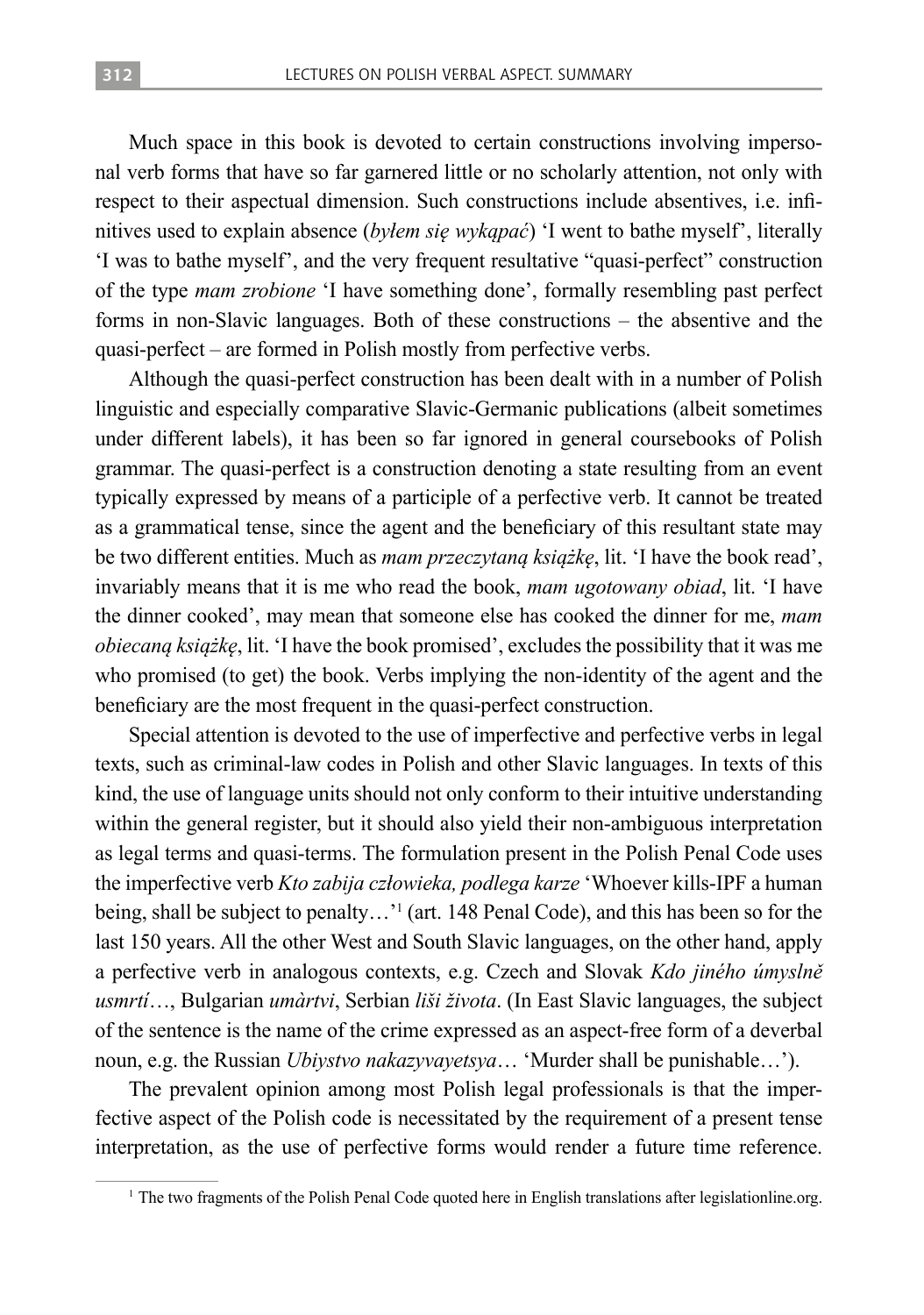Much space in this book is devoted to certain constructions involving impersonal verb forms that have so far garnered little or no scholarly attention, not only with respect to their aspectual dimension. Such constructions include absentives, i.e. infinitives used to explain absence (*byłem się wykąpać*) 'I went to bathe myself', literally 'I was to bathe myself', and the very frequent resultative "quasi-perfect" construction of the type *mam zrobione* 'I have something done', formally resembling past perfect forms in non-Slavic languages. Both of these constructions – the absentive and the quasi-perfect – are formed in Polish mostly from perfective verbs.

Although the quasi-perfect construction has been dealt with in a number of Polish linguistic and especially comparative Slavic-Germanic publications (albeit sometimes under different labels), it has been so far ignored in general coursebooks of Polish grammar. The quasi-perfect is a construction denoting a state resulting from an event typically expressed by means of a participle of a perfective verb. It cannot be treated as a grammatical tense, since the agent and the beneficiary of this resultant state may be two different entities. Much as *mam przeczytaną książkę*, lit. 'I have the book read', invariably means that it is me who read the book, *mam ugotowany obiad*, lit. 'I have the dinner cooked', may mean that someone else has cooked the dinner for me, *mam obiecaną książkę*, lit. 'I have the book promised', excludes the possibility that it was me who promised (to get) the book. Verbs implying the non-identity of the agent and the beneficiary are the most frequent in the quasi-perfect construction.

Special attention is devoted to the use of imperfective and perfective verbs in legal texts, such as criminal-law codes in Polish and other Slavic languages. In texts of this kind, the use of language units should not only conform to their intuitive understanding within the general register, but it should also yield their non-ambiguous interpretation as legal terms and quasi-terms. The formulation present in the Polish Penal Code uses the imperfective verb *Kto zabija człowieka, podlega karze* 'Whoever kills-IPF a human being, shall be subject to penalty...'<sup>1</sup> (art. 148 Penal Code), and this has been so for the last 150 years. All the other West and South Slavic languages, on the other hand, apply a perfective verb in analogous contexts, e.g. Czech and Slovak *Kdo jiného úmyslně usmrtí*…, Bulgarian *umàrtvi*, Serbian *liši života*. (In East Slavic languages, the subject of the sentence is the name of the crime expressed as an aspect-free form of a deverbal noun, e.g. the Russian *Ubiystvo nakazyvayetsya*… 'Murder shall be punishable…').

The prevalent opinion among most Polish legal professionals is that the imperfective aspect of the Polish code is necessitated by the requirement of a present tense interpretation, as the use of perfective forms would render a future time reference.

<sup>&</sup>lt;sup>1</sup> The two fragments of the Polish Penal Code quoted here in English translations after legislationline.org.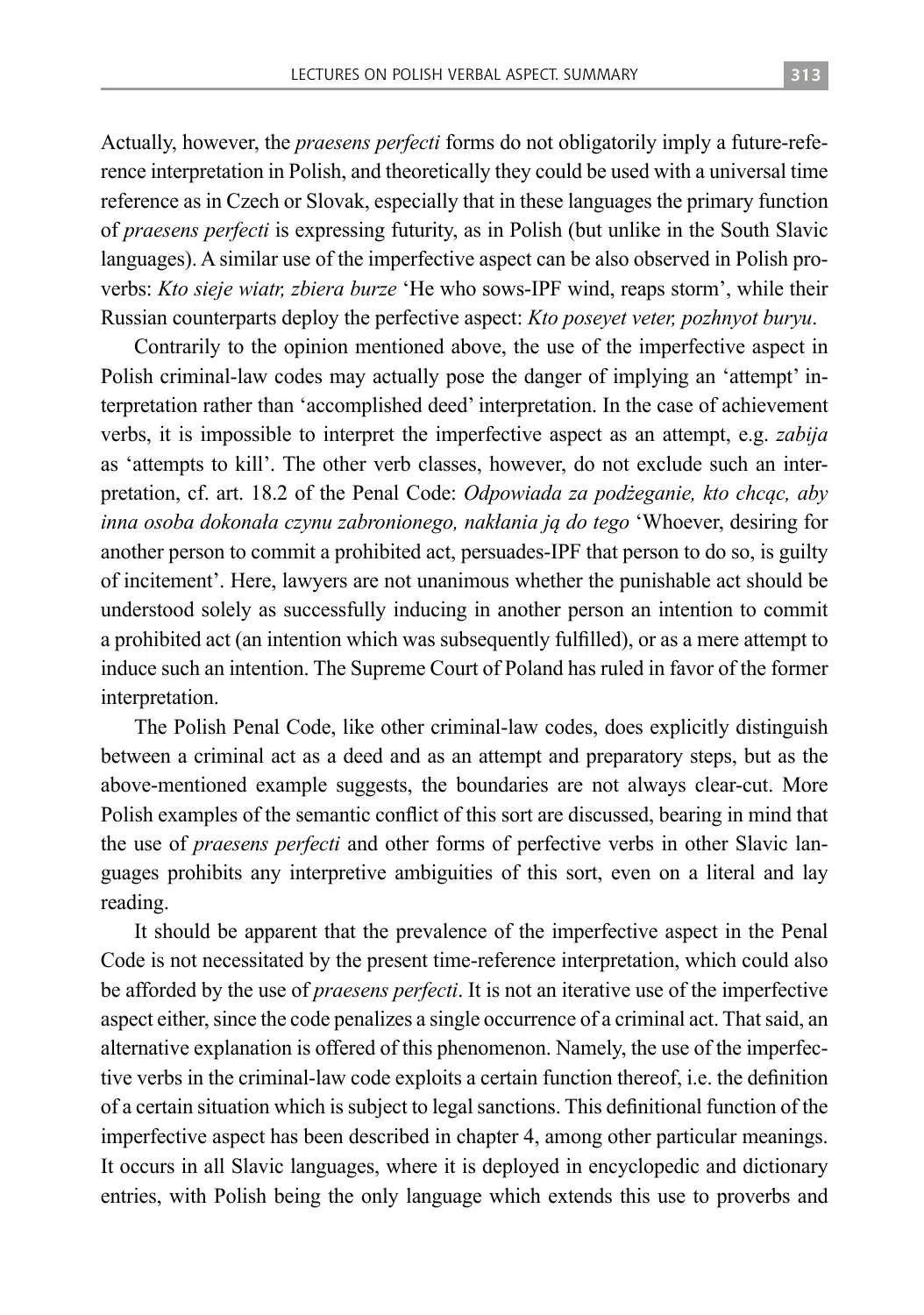Actually, however, the *praesens perfecti* forms do not obligatorily imply a future-reference interpretation in Polish, and theoretically they could be used with a universal time reference as in Czech or Slovak, especially that in these languages the primary function of *praesens perfecti* is expressing futurity, as in Polish (but unlike in the South Slavic languages). A similar use of the imperfective aspect can be also observed in Polish proverbs: *Kto sieje wiatr, zbiera burze* 'He who sows-IPF wind, reaps storm', while their Russian counterparts deploy the perfective aspect: *Kto poseyet veter, pozhnyot buryu*.

Contrarily to the opinion mentioned above, the use of the imperfective aspect in Polish criminal-law codes may actually pose the danger of implying an 'attempt' interpretation rather than 'accomplished deed' interpretation. In the case of achievement verbs, it is impossible to interpret the imperfective aspect as an attempt, e.g. *zabija* as 'attempts to kill'. The other verb classes, however, do not exclude such an interpretation, cf. art. 18.2 of the Penal Code: *Odpowiada za podżeganie, kto chcąc, aby inna osoba dokonała czynu zabronionego, nakłania ją do tego* 'Whoever, desiring for another person to commit a prohibited act, persuades-IPF that person to do so, is guilty of incitement'. Here, lawyers are not unanimous whether the punishable act should be understood solely as successfully inducing in another person an intention to commit a prohibited act (an intention which was subsequently fulfilled), or as a mere attempt to induce such an intention. The Supreme Court of Poland has ruled in favor of the former interpretation.

The Polish Penal Code, like other criminal-law codes, does explicitly distinguish between a criminal act as a deed and as an attempt and preparatory steps, but as the above-mentioned example suggests, the boundaries are not always clear-cut. More Polish examples of the semantic conflict of this sort are discussed, bearing in mind that the use of *praesens perfecti* and other forms of perfective verbs in other Slavic languages prohibits any interpretive ambiguities of this sort, even on a literal and lay reading.

It should be apparent that the prevalence of the imperfective aspect in the Penal Code is not necessitated by the present time-reference interpretation, which could also be afforded by the use of *praesens perfecti*. It is not an iterative use of the imperfective aspect either, since the code penalizes a single occurrence of a criminal act. That said, an alternative explanation is offered of this phenomenon. Namely, the use of the imperfective verbs in the criminal-law code exploits a certain function thereof, i.e. the definition of a certain situation which is subject to legal sanctions. This definitional function of the imperfective aspect has been described in chapter 4, among other particular meanings. It occurs in all Slavic languages, where it is deployed in encyclopedic and dictionary entries, with Polish being the only language which extends this use to proverbs and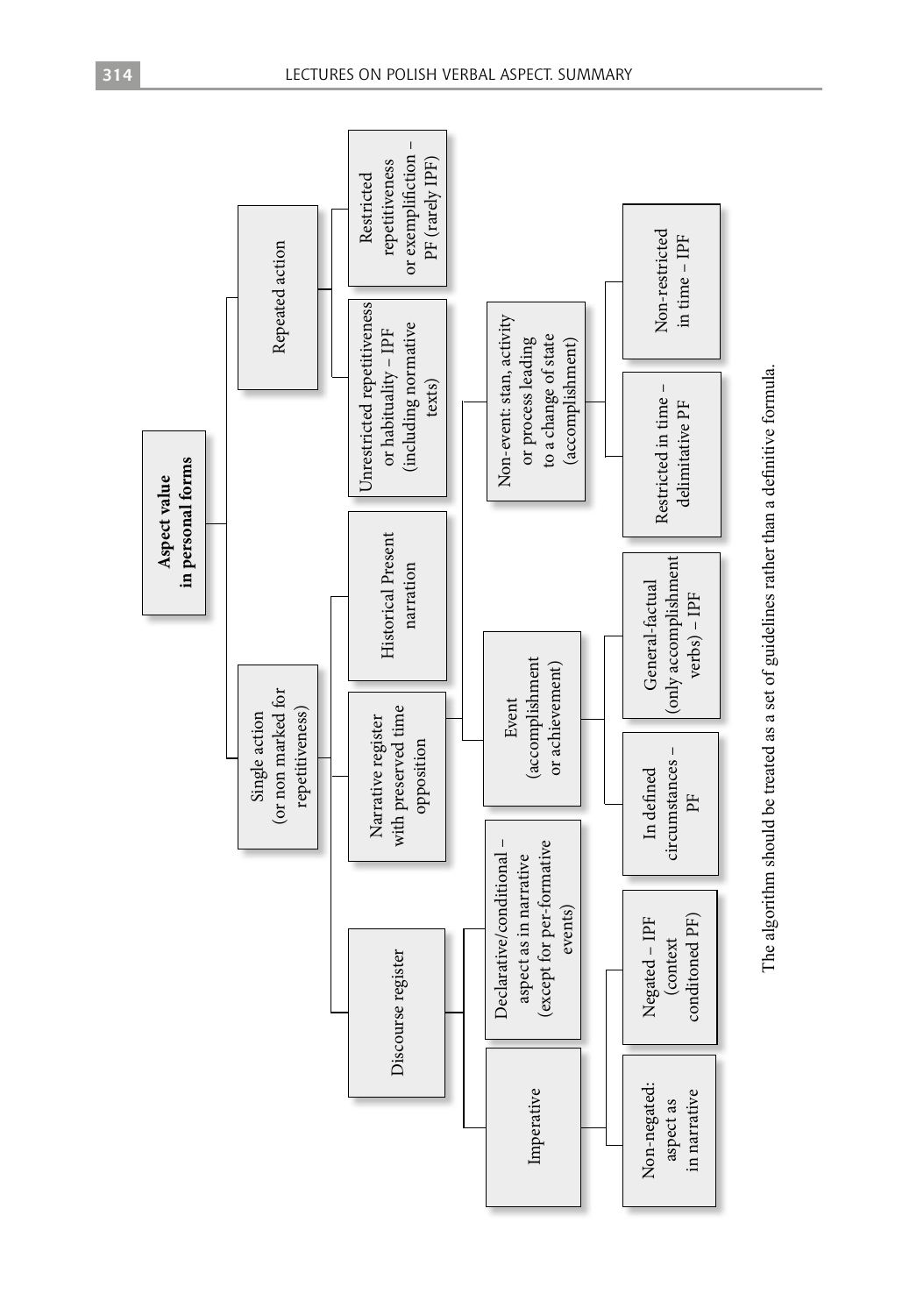